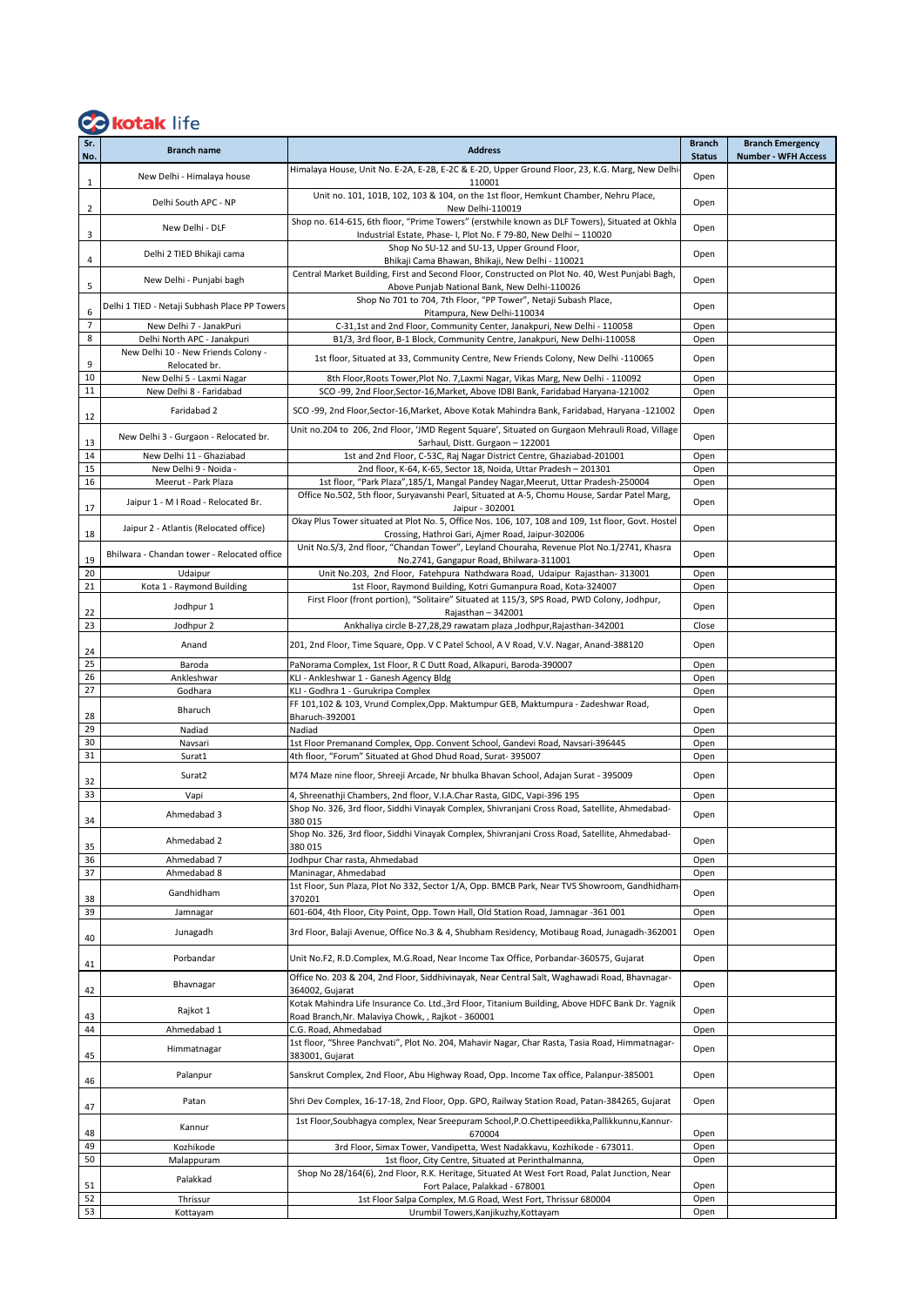## Co kotak life

| Sr.<br>No.     | <b>Branch name</b>                                   | <b>Address</b>                                                                                                                                                      | <b>Branch</b><br><b>Status</b> | <b>Branch Emergency</b><br><b>Number - WFH Access</b> |
|----------------|------------------------------------------------------|---------------------------------------------------------------------------------------------------------------------------------------------------------------------|--------------------------------|-------------------------------------------------------|
| $\mathbf{1}$   | New Delhi - Himalaya house                           | Himalaya House, Unit No. E-2A, E-2B, E-2C & E-2D, Upper Ground Floor, 23, K.G. Marg, New Delhi<br>110001                                                            | Open                           |                                                       |
| $\overline{2}$ | Delhi South APC - NP                                 | Unit no. 101, 101B, 102, 103 & 104, on the 1st floor, Hemkunt Chamber, Nehru Place,<br>New Delhi-110019                                                             | Open                           |                                                       |
| 3              | New Delhi - DLF                                      | Shop no. 614-615, 6th floor, "Prime Towers" (erstwhile known as DLF Towers), Situated at Okhla<br>Industrial Estate, Phase- I, Plot No. F 79-80, New Delhi - 110020 | Open                           |                                                       |
| 4              | Delhi 2 TIED Bhikaji cama                            | Shop No SU-12 and SU-13, Upper Ground Floor,<br>Bhikaji Cama Bhawan, Bhikaji, New Delhi - 110021                                                                    | Open                           |                                                       |
| 5              | New Delhi - Punjabi bagh                             | Central Market Building, First and Second Floor, Constructed on Plot No. 40, West Punjabi Bagh,<br>Above Punjab National Bank, New Delhi-110026                     | Open                           |                                                       |
| 6              | Delhi 1 TIED - Netaji Subhash Place PP Towers        | Shop No 701 to 704, 7th Floor, "PP Tower", Netaji Subash Place,<br>Pitampura, New Delhi-110034                                                                      | Open                           |                                                       |
| $\overline{7}$ | New Delhi 7 - JanakPuri                              | C-31,1st and 2nd Floor, Community Center, Janakpuri, New Delhi - 110058                                                                                             | Open                           |                                                       |
| 8              | Delhi North APC - Janakpuri                          | B1/3, 3rd floor, B-1 Block, Community Centre, Janakpuri, New Delhi-110058                                                                                           | Open                           |                                                       |
| 9              | New Delhi 10 - New Friends Colony -<br>Relocated br. | 1st floor, Situated at 33, Community Centre, New Friends Colony, New Delhi -110065                                                                                  | Open                           |                                                       |
| 10             | New Delhi 5 - Laxmi Nagar                            | 8th Floor, Roots Tower, Plot No. 7, Laxmi Nagar, Vikas Marg, New Delhi - 110092                                                                                     | Open                           |                                                       |
| 11             | New Delhi 8 - Faridabad                              | SCO -99, 2nd Floor, Sector-16, Market, Above IDBI Bank, Faridabad Haryana-121002                                                                                    | Open                           |                                                       |
| 12             | Faridabad 2                                          | SCO -99, 2nd Floor, Sector-16, Market, Above Kotak Mahindra Bank, Faridabad, Haryana -121002                                                                        | Open                           |                                                       |
| 13             | New Delhi 3 - Gurgaon - Relocated br.                | Unit no.204 to 206, 2nd Floor, 'JMD Regent Square', Situated on Gurgaon Mehrauli Road, Village<br>Sarhaul, Distt. Gurgaon - 122001                                  | Open                           |                                                       |
| 14             | New Delhi 11 - Ghaziabad                             | 1st and 2nd Floor, C-53C, Raj Nagar District Centre, Ghaziabad-201001                                                                                               | Open                           |                                                       |
| 15<br>16       | New Delhi 9 - Noida -<br>Meerut - Park Plaza         | 2nd floor, K-64, K-65, Sector 18, Noida, Uttar Pradesh - 201301<br>1st floor, "Park Plaza", 185/1, Mangal Pandey Nagar, Meerut, Uttar Pradesh-250004                | Open<br>Open                   |                                                       |
|                |                                                      | Office No.502, 5th floor, Suryavanshi Pearl, Situated at A-5, Chomu House, Sardar Patel Marg,                                                                       |                                |                                                       |
| 17             | Jaipur 1 - M I Road - Relocated Br.                  | Jaipur - 302001                                                                                                                                                     | Open                           |                                                       |
|                | Jaipur 2 - Atlantis (Relocated office)               | Okay Plus Tower situated at Plot No. 5, Office Nos. 106, 107, 108 and 109, 1st floor, Govt. Hostel                                                                  | Open                           |                                                       |
| 18             | Bhilwara - Chandan tower - Relocated office          | Crossing, Hathroi Gari, Ajmer Road, Jaipur-302006<br>Unit No.S/3, 2nd floor, "Chandan Tower", Leyland Chouraha, Revenue Plot No.1/2741, Khasra                      |                                |                                                       |
| 19             |                                                      | No.2741, Gangapur Road, Bhilwara-311001                                                                                                                             | Open                           |                                                       |
| 20<br>21       | Udaipur<br>Kota 1 - Raymond Building                 | Unit No.203, 2nd Floor, Fatehpura Nathdwara Road, Udaipur Rajasthan-313001                                                                                          | Open                           |                                                       |
|                | Jodhpur 1                                            | 1st Floor, Raymond Building, Kotri Gumanpura Road, Kota-324007<br>First Floor (front portion), "Solitaire" Situated at 115/3, SPS Road, PWD Colony, Jodhpur,        | Open<br>Open                   |                                                       |
| 22<br>23       | Jodhpur 2                                            | Rajasthan - 342001<br>Ankhaliya circle B-27,28,29 rawatam plaza ,Jodhpur,Rajasthan-342001                                                                           | Close                          |                                                       |
|                |                                                      |                                                                                                                                                                     |                                |                                                       |
| 24             | Anand                                                | 201, 2nd Floor, Time Square, Opp. V C Patel School, A V Road, V.V. Nagar, Anand-388120                                                                              | Open                           |                                                       |
| 25<br>26       | Baroda<br>Ankleshwar                                 | PaNorama Complex, 1st Floor, R C Dutt Road, Alkapuri, Baroda-390007<br>KLI - Ankleshwar 1 - Ganesh Agency Bldg                                                      | Open<br>Open                   |                                                       |
| 27             | Godhara                                              | KLI - Godhra 1 - Gurukripa Complex                                                                                                                                  | Open                           |                                                       |
|                | Bharuch                                              | FF 101,102 & 103, Vrund Complex, Opp. Maktumpur GEB, Maktumpura - Zadeshwar Road,                                                                                   | Open                           |                                                       |
| 28<br>29       |                                                      | Bharuch-392001                                                                                                                                                      |                                |                                                       |
| 30             | Nadiad<br>Navsari                                    | Nadiad<br>1st Floor Premanand Complex, Opp. Convent School, Gandevi Road, Navsari-396445                                                                            | Open<br>Open                   |                                                       |
| 31             | Surat1                                               | 4th floor, "Forum" Situated at Ghod Dhud Road, Surat- 395007                                                                                                        | Open                           |                                                       |
|                | Surat2                                               | M74 Maze nine floor, Shreeji Arcade, Nr bhulka Bhavan School, Adajan Surat - 395009                                                                                 | Open                           |                                                       |
| 32<br>33       | Vapi                                                 | 4, Shreenathji Chambers, 2nd floor, V.I.A.Char Rasta, GIDC, Vapi-396 195                                                                                            | Open                           |                                                       |
| 34             | Ahmedabad 3                                          | Shop No. 326, 3rd floor, Siddhi Vinayak Complex, Shivranjani Cross Road, Satellite, Ahmedabad-<br>380 015                                                           | Open                           |                                                       |
| 35             | Ahmedabad 2                                          | Shop No. 326, 3rd floor, Siddhi Vinayak Complex, Shivranjani Cross Road, Satellite, Ahmedabad-<br>380 015                                                           | Open                           |                                                       |
| 36             | Ahmedabad 7                                          | Jodhpur Char rasta, Ahmedabad                                                                                                                                       | Open                           |                                                       |
| 37             | Ahmedabad 8                                          | Maninagar, Ahmedabad                                                                                                                                                | Open                           |                                                       |
| 38             | Gandhidham                                           | 1st Floor, Sun Plaza, Plot No 332, Sector 1/A, Opp. BMCB Park, Near TVS Showroom, Gandhidham<br>370201                                                              | Open                           |                                                       |
| 39             | Jamnagar                                             | 601-604, 4th Floor, City Point, Opp. Town Hall, Old Station Road, Jamnagar -361 001                                                                                 | Open                           |                                                       |
| 40             | Junagadh                                             | 3rd Floor, Balaji Avenue, Office No.3 & 4, Shubham Residency, Motibaug Road, Junagadh-362001                                                                        | Open                           |                                                       |
| 41             | Porbandar                                            | Unit No.F2, R.D.Complex, M.G.Road, Near Income Tax Office, Porbandar-360575, Gujarat                                                                                | Open                           |                                                       |
| 42             | Bhavnagar                                            | Office No. 203 & 204, 2nd Floor, Siddhivinayak, Near Central Salt, Waghawadi Road, Bhavnagar-<br>364002, Gujarat                                                    | Open                           |                                                       |
| 43             | Rajkot 1                                             | Kotak Mahindra Life Insurance Co. Ltd., 3rd Floor, Titanium Building, Above HDFC Bank Dr. Yagnik<br>Road Branch, Nr. Malaviya Chowk, , Rajkot - 360001              | Open                           |                                                       |
| 44             | Ahmedabad 1                                          | C.G. Road, Ahmedabad                                                                                                                                                | Open                           |                                                       |
| 45             | Himmatnagar                                          | 1st floor, "Shree Panchvati", Plot No. 204, Mahavir Nagar, Char Rasta, Tasia Road, Himmatnagar-<br>383001, Gujarat                                                  | Open                           |                                                       |
| 46             | Palanpur                                             | Sanskrut Complex, 2nd Floor, Abu Highway Road, Opp. Income Tax office, Palanpur-385001                                                                              | Open                           |                                                       |
| 47             | Patan                                                | Shri Dev Complex, 16-17-18, 2nd Floor, Opp. GPO, Railway Station Road, Patan-384265, Gujarat                                                                        | Open                           |                                                       |
| 48             | Kannur                                               | 1st Floor, Soubhagya complex, Near Sreepuram School, P.O.Chettipeedikka, Pallikkunnu, Kannur-<br>670004                                                             | Open                           |                                                       |
| 49             | Kozhikode                                            | 3rd Floor, Simax Tower, Vandipetta, West Nadakkavu, Kozhikode - 673011.                                                                                             | Open                           |                                                       |
| 50             | Malappuram                                           | 1st floor, City Centre, Situated at Perinthalmanna,                                                                                                                 | Open                           |                                                       |
| 51             | Palakkad                                             | Shop No 28/164(6), 2nd Floor, R.K. Heritage, Situated At West Fort Road, Palat Junction, Near<br>Fort Palace, Palakkad - 678001                                     | Open                           |                                                       |
| 52             | Thrissur                                             | 1st Floor Salpa Complex, M.G Road, West Fort, Thrissur 680004                                                                                                       | Open                           |                                                       |
| 53             | Kottayam                                             | Urumbil Towers, Kanjikuzhy, Kottayam                                                                                                                                | Open                           |                                                       |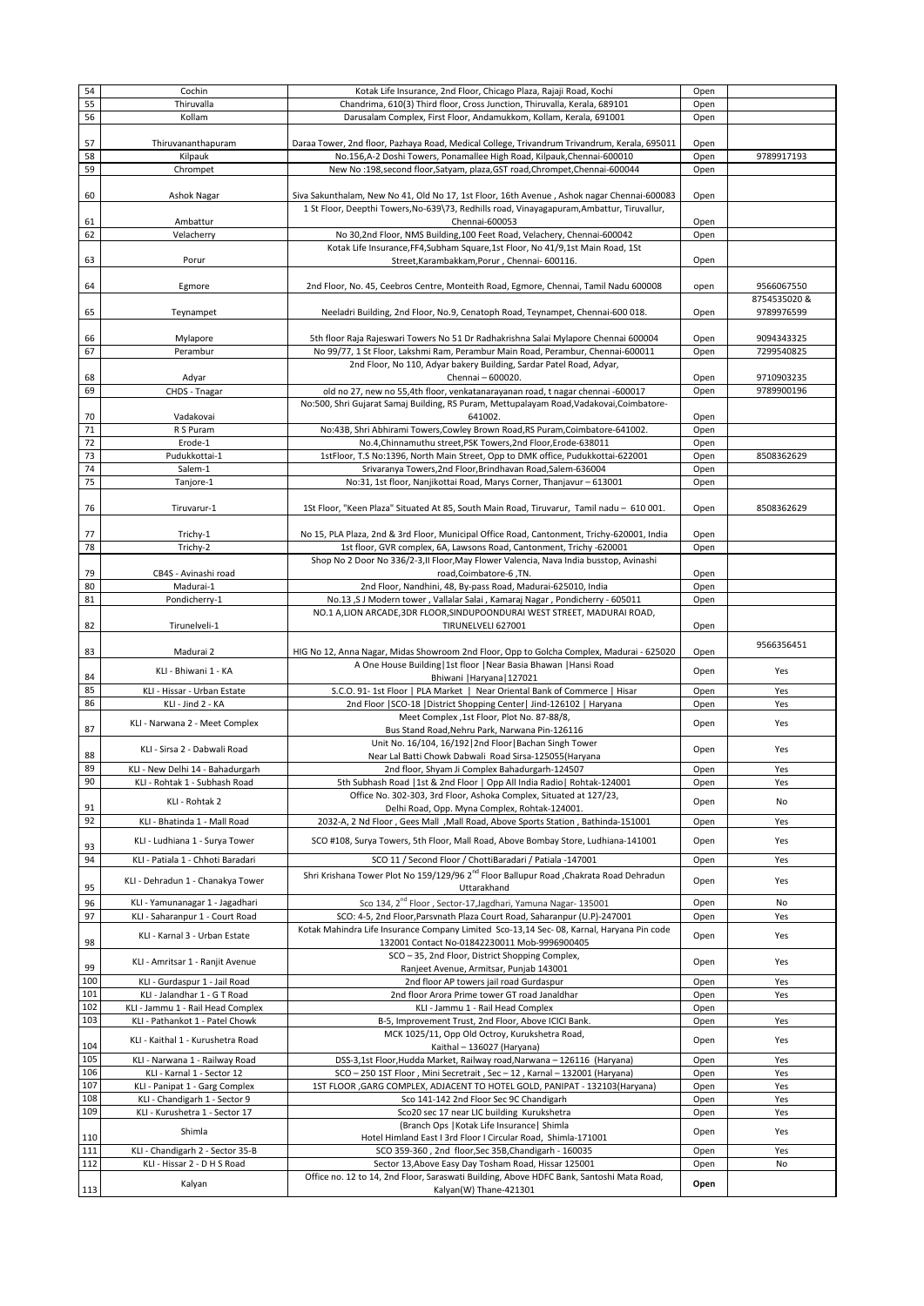|          | Cochin                            | Kotak Life Insurance, 2nd Floor, Chicago Plaza, Rajaji Road, Kochi                                                 | Open |              |
|----------|-----------------------------------|--------------------------------------------------------------------------------------------------------------------|------|--------------|
| 54<br>55 | Thiruvalla                        | Chandrima, 610(3) Third floor, Cross Junction, Thiruvalla, Kerala, 689101                                          | Open |              |
|          |                                   |                                                                                                                    |      |              |
| 56       | Kollam                            | Darusalam Complex, First Floor, Andamukkom, Kollam, Kerala, 691001                                                 | Open |              |
|          |                                   |                                                                                                                    |      |              |
| 57       | Thiruvananthapuram                | Daraa Tower, 2nd floor, Pazhaya Road, Medical College, Trivandrum Trivandrum, Kerala, 695011                       | Open |              |
| 58       | Kilpauk                           | No.156,A-2 Doshi Towers, Ponamallee High Road, Kilpauk,Chennai-600010                                              | Open | 9789917193   |
| 59       |                                   | New No:198, second floor, Satyam, plaza, GST road, Chrompet, Chennai-600044                                        |      |              |
|          | Chrompet                          |                                                                                                                    | Open |              |
|          |                                   |                                                                                                                    |      |              |
| 60       | Ashok Nagar                       | Siva Sakunthalam, New No 41, Old No 17, 1st Floor, 16th Avenue, Ashok nagar Chennai-600083                         | Open |              |
|          |                                   | 1 St Floor, Deepthi Towers, No-639\73, Redhills road, Vinayagapuram, Ambattur, Tiruvallur,                         |      |              |
| 61       | Ambattur                          | Chennai-600053                                                                                                     | Open |              |
| 62       | Velacherry                        |                                                                                                                    |      |              |
|          |                                   | No 30,2nd Floor, NMS Building, 100 Feet Road, Velachery, Chennai-600042                                            | Open |              |
|          |                                   | Kotak Life Insurance, FF4, Subham Square, 1st Floor, No 41/9, 1st Main Road, 1St                                   |      |              |
| 63       | Porur                             | Street, Karambakkam, Porur, Chennai- 600116.                                                                       | Open |              |
|          |                                   |                                                                                                                    |      |              |
| 64       | Egmore                            | 2nd Floor, No. 45, Ceebros Centre, Monteith Road, Egmore, Chennai, Tamil Nadu 600008                               | open | 9566067550   |
|          |                                   |                                                                                                                    |      | 8754535020 & |
|          |                                   |                                                                                                                    |      |              |
| 65       | Teynampet                         | Neeladri Building, 2nd Floor, No.9, Cenatoph Road, Teynampet, Chennai-600 018.                                     | Open | 9789976599   |
|          |                                   |                                                                                                                    |      |              |
| 66       | Mylapore                          | 5th floor Raja Rajeswari Towers No 51 Dr Radhakrishna Salai Mylapore Chennai 600004                                | Open | 9094343325   |
| 67       | Perambur                          | No 99/77, 1 St Floor, Lakshmi Ram, Perambur Main Road, Perambur, Chennai-600011                                    |      | 7299540825   |
|          |                                   |                                                                                                                    | Open |              |
|          |                                   | 2nd Floor, No 110, Adyar bakery Building, Sardar Patel Road, Adyar,                                                |      |              |
| 68       | Adyar                             | Chennai - 600020.                                                                                                  | Open | 9710903235   |
| 69       | CHDS - Tnagar                     | old no 27, new no 55,4th floor, venkatanarayanan road, t nagar chennai -600017                                     | Open | 9789900196   |
|          |                                   | No:500, Shri Gujarat Samaj Building, RS Puram, Mettupalayam Road, Vadakovai, Coimbatore-                           |      |              |
|          |                                   |                                                                                                                    |      |              |
| 70       | Vadakovai                         | 641002.                                                                                                            | Open |              |
| 71       | R S Puram                         | No:43B, Shri Abhirami Towers, Cowley Brown Road, RS Puram, Coimbatore-641002.                                      | Open |              |
| 72       | Erode-1                           | No.4, Chinnamuthu street, PSK Towers, 2nd Floor, Erode-638011                                                      | Open |              |
| 73       | Pudukkottai-1                     | 1stFloor, T.S No:1396, North Main Street, Opp to DMK office, Pudukkottai-622001                                    | Open | 8508362629   |
| 74       |                                   |                                                                                                                    |      |              |
|          | Salem-1                           | Srivaranya Towers, 2nd Floor, Brindhavan Road, Salem-636004                                                        | Open |              |
| 75       | Tanjore-1                         | No:31, 1st floor, Nanjikottai Road, Marys Corner, Thanjavur - 613001                                               | Open |              |
|          |                                   |                                                                                                                    |      |              |
| 76       | Tiruvarur-1                       | 1St Floor, "Keen Plaza" Situated At 85, South Main Road, Tiruvarur, Tamil nadu - 610 001.                          | Open | 8508362629   |
|          |                                   |                                                                                                                    |      |              |
|          |                                   |                                                                                                                    |      |              |
| 77       | Trichy-1                          | No 15, PLA Plaza, 2nd & 3rd Floor, Municipal Office Road, Cantonment, Trichy-620001, India                         | Open |              |
| 78       | Trichy-2                          | 1st floor, GVR complex, 6A, Lawsons Road, Cantonment, Trichy -620001                                               | Open |              |
|          |                                   | Shop No 2 Door No 336/2-3, II Floor, May Flower Valencia, Nava India busstop, Avinashi                             |      |              |
| 79       | CB4S - Avinashi road              | road,Coimbatore-6,TN.                                                                                              |      |              |
|          |                                   |                                                                                                                    | Open |              |
| 80       | Madurai-1                         | 2nd Floor, Nandhini, 48, By-pass Road, Madurai-625010, India                                                       | Open |              |
| 81       | Pondicherry-1                     | No.13, SJ Modern tower, Vallalar Salai, Kamaraj Nagar, Pondicherry - 605011                                        | Open |              |
|          |                                   | NO.1 A,LION ARCADE, 3DR FLOOR, SINDUPOONDURAI WEST STREET, MADURAI ROAD,                                           |      |              |
| 82       | Tirunelveli-1                     | TIRUNELVELI 627001                                                                                                 | Open |              |
|          |                                   |                                                                                                                    |      |              |
|          |                                   |                                                                                                                    |      | 9566356451   |
| 83       | Madurai 2                         | HIG No 12, Anna Nagar, Midas Showroom 2nd Floor, Opp to Golcha Complex, Madurai - 625020                           | Open |              |
|          |                                   | A One House Building   1st floor   Near Basia Bhawan   Hansi Road                                                  |      |              |
| 84       | KLI - Bhiwani 1 - KA              | Bhiwani   Haryana   127021                                                                                         | Open | Yes          |
| 85       |                                   | S.C.O. 91-1st Floor   PLA Market   Near Oriental Bank of Commerce   Hisar                                          |      |              |
|          | KLI - Hissar - Urban Estate       |                                                                                                                    | Open | Yes          |
| 86       | KLI - Jind 2 - KA                 | 2nd Floor   SCO-18   District Shopping Center   Jind-126102   Haryana                                              | Open | Yes          |
|          |                                   | Meet Complex ,1st Floor, Plot No. 87-88/8,                                                                         |      |              |
|          |                                   |                                                                                                                    |      |              |
|          | KLI - Narwana 2 - Meet Complex    |                                                                                                                    | Open | Yes          |
| 87       |                                   | Bus Stand Road, Nehru Park, Narwana Pin-126116                                                                     |      |              |
|          | KLI - Sirsa 2 - Dabwali Road      | Unit No. 16/104, 16/192   2nd Floor   Bachan Singh Tower                                                           | Open | Yes          |
| 88       |                                   | Near Lal Batti Chowk Dabwali Road Sirsa-125055(Haryana                                                             |      |              |
| 89       | KLI - New Delhi 14 - Bahadurgarh  | 2nd floor, Shyam Ji Complex Bahadurgarh-124507                                                                     | Open | Yes          |
| 90       | KLI - Rohtak 1 - Subhash Road     | 5th Subhash Road   1st & 2nd Floor   Opp All India Radio   Rohtak-124001                                           | Open | Yes          |
|          |                                   | Office No. 302-303, 3rd Floor, Ashoka Complex, Situated at 127/23,                                                 |      |              |
|          | KLI - Rohtak 2                    |                                                                                                                    | Open | No           |
| 91       |                                   | Delhi Road, Opp. Myna Complex, Rohtak-124001.                                                                      |      |              |
| 92       | KLI - Bhatinda 1 - Mall Road      | 2032-A, 2 Nd Floor, Gees Mall, Mall Road, Above Sports Station, Bathinda-151001                                    | Open | Yes          |
|          |                                   |                                                                                                                    |      |              |
| 93       | KLI - Ludhiana 1 - Surya Tower    | SCO #108, Surya Towers, 5th Floor, Mall Road, Above Bombay Store, Ludhiana-141001                                  | Open | Yes          |
| 94       | KLI - Patiala 1 - Chhoti Baradari | SCO 11 / Second Floor / ChottiBaradari / Patiala -147001                                                           | Open | Yes          |
|          |                                   |                                                                                                                    |      |              |
|          | KLI - Dehradun 1 - Chanakya Tower | Shri Krishana Tower Plot No 159/129/96 2 <sup>nd</sup> Floor Ballupur Road ,Chakrata Road Dehradun                 | Open | Yes          |
| 95       |                                   | Uttarakhand                                                                                                        |      |              |
| 96       | KLI - Yamunanagar 1 - Jagadhari   | Sco 134, 2 <sup>nd</sup> Floor, Sector-17, Jagdhari, Yamuna Nagar- 135001                                          | Open | No           |
|          |                                   |                                                                                                                    |      |              |
| 97       | KLI - Saharanpur 1 - Court Road   | SCO: 4-5, 2nd Floor, Parsvnath Plaza Court Road, Saharanpur (U.P)-247001                                           | Open | Yes          |
|          | KLI - Karnal 3 - Urban Estate     | Kotak Mahindra Life Insurance Company Limited Sco-13,14 Sec-08, Karnal, Haryana Pin code                           | Open | Yes          |
| 98       |                                   | 132001 Contact No-01842230011 Mob-9996900405                                                                       |      |              |
|          |                                   | SCO - 35, 2nd Floor, District Shopping Complex,                                                                    |      |              |
| 99       | KLI - Amritsar 1 - Ranjit Avenue  | Ranjeet Avenue, Armitsar, Punjab 143001                                                                            | Open | Yes          |
|          |                                   |                                                                                                                    |      |              |
| 100      | KLI - Gurdaspur 1 - Jail Road     | 2nd floor AP towers jail road Gurdaspur                                                                            | Open | Yes          |
| 101      | KLI - Jalandhar 1 - G T Road      | 2nd floor Arora Prime tower GT road Janaldhar                                                                      | Open | Yes          |
| 102      | KLI - Jammu 1 - Rail Head Complex | KLI - Jammu 1 - Rail Head Complex                                                                                  | Open |              |
| 103      | KLI - Pathankot 1 - Patel Chowk   | B-5, Improvement Trust, 2nd Floor, Above ICICI Bank.                                                               | Open | Yes          |
|          |                                   | MCK 1025/11, Opp Old Octroy, Kurukshetra Road,                                                                     |      |              |
|          | KLI - Kaithal 1 - Kurushetra Road |                                                                                                                    | Open | Yes          |
| 104      |                                   | Kaithal - 136027 (Haryana)                                                                                         |      |              |
| 105      | KLI - Narwana 1 - Railway Road    | DSS-3,1st Floor, Hudda Market, Railway road, Narwana - 126116 (Haryana)                                            | Open | Yes          |
| 106      | KLI - Karnal 1 - Sector 12        | SCO - 250 1ST Floor, Mini Secretrait, Sec-12, Karnal - 132001 (Haryana)                                            | Open | Yes          |
| 107      | KLI - Panipat 1 - Garg Complex    | 1ST FLOOR , GARG COMPLEX, ADJACENT TO HOTEL GOLD, PANIPAT - 132103(Haryana)                                        | Open | Yes          |
|          |                                   |                                                                                                                    |      |              |
| 108      | KLI - Chandigarh 1 - Sector 9     | Sco 141-142 2nd Floor Sec 9C Chandigarh                                                                            | Open | Yes          |
| 109      | KLI - Kurushetra 1 - Sector 17    | Sco20 sec 17 near LIC building Kurukshetra                                                                         | Open | Yes          |
|          |                                   | (Branch Ops   Kotak Life Insurance   Shimla                                                                        |      |              |
| 110      | Shimla                            | Hotel Himland East I 3rd Floor I Circular Road, Shimla-171001                                                      | Open | Yes          |
| 111      | KLI - Chandigarh 2 - Sector 35-B  | SCO 359-360, 2nd floor, Sec 35B, Chandigarh - 160035                                                               | Open | Yes          |
|          |                                   |                                                                                                                    |      |              |
| 112      | KLI - Hissar 2 - D H S Road       | Sector 13, Above Easy Day Tosham Road, Hissar 125001                                                               | Open | No           |
| 113      | Kalyan                            | Office no. 12 to 14, 2nd Floor, Saraswati Building, Above HDFC Bank, Santoshi Mata Road,<br>Kalyan(W) Thane-421301 | Open |              |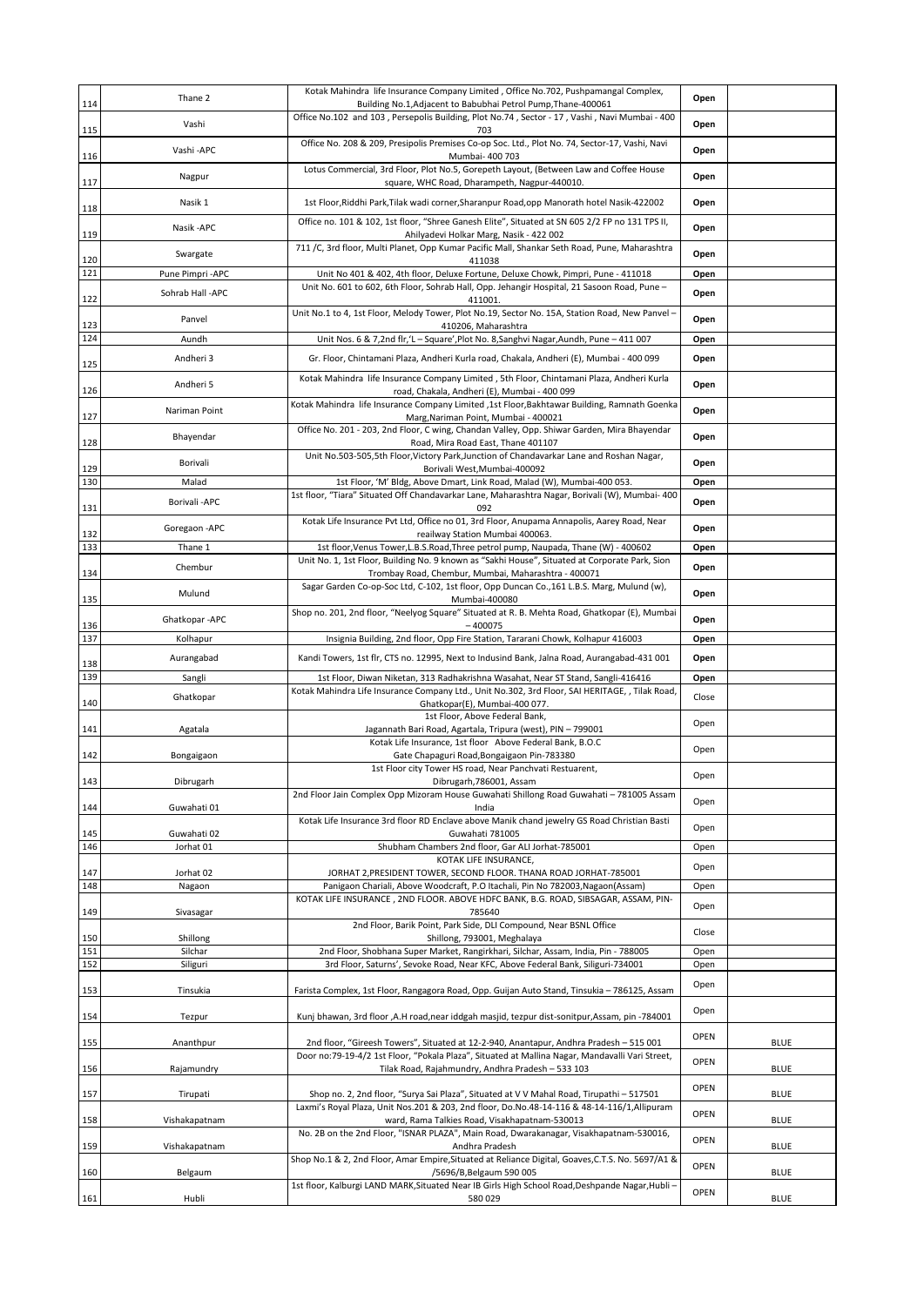| 114        | Thane 2                       | Kotak Mahindra life Insurance Company Limited, Office No.702, Pushpamangal Complex,<br>Building No.1, Adjacent to Babubhai Petrol Pump, Thane-400061                                | Open          |             |
|------------|-------------------------------|-------------------------------------------------------------------------------------------------------------------------------------------------------------------------------------|---------------|-------------|
|            | Vashi                         | Office No.102 and 103, Persepolis Building, Plot No.74, Sector - 17, Vashi, Navi Mumbai - 400                                                                                       | Open          |             |
| 115        | Vashi-APC                     | 703<br>Office No. 208 & 209, Presipolis Premises Co-op Soc. Ltd., Plot No. 74, Sector-17, Vashi, Navi                                                                               | Open          |             |
| 116        | Nagpur                        | Mumbai- 400 703<br>Lotus Commercial, 3rd Floor, Plot No.5, Gorepeth Layout, (Between Law and Coffee House                                                                           | Open          |             |
| 117        | Nasik 1                       | square, WHC Road, Dharampeth, Nagpur-440010.<br>1st Floor, Riddhi Park, Tilak wadi corner, Sharanpur Road, opp Manorath hotel Nasik-422002                                          | Open          |             |
| 118        | Nasik - APC                   | Office no. 101 & 102, 1st floor, "Shree Ganesh Elite", Situated at SN 605 2/2 FP no 131 TPS II,                                                                                     |               |             |
| 119        |                               | Ahilyadevi Holkar Marg, Nasik - 422 002<br>711 /C, 3rd floor, Multi Planet, Opp Kumar Pacific Mall, Shankar Seth Road, Pune, Maharashtra                                            | Open          |             |
| 120<br>121 | Swargate<br>Pune Pimpri - APC | 411038<br>Unit No 401 & 402, 4th floor, Deluxe Fortune, Deluxe Chowk, Pimpri, Pune - 411018                                                                                         | Open<br>Open  |             |
|            | Sohrab Hall -APC              | Unit No. 601 to 602, 6th Floor, Sohrab Hall, Opp. Jehangir Hospital, 21 Sasoon Road, Pune -                                                                                         | Open          |             |
| 122        | Panvel                        | 411001.<br>Unit No.1 to 4, 1st Floor, Melody Tower, Plot No.19, Sector No. 15A, Station Road, New Panvel -                                                                          |               |             |
| 123<br>124 | Aundh                         | 410206, Maharashtra<br>Unit Nos. 6 & 7,2nd flr, 'L - Square', Plot No. 8, Sanghvi Nagar, Aundh, Pune - 411 007                                                                      | Open<br>Open  |             |
| 125        | Andheri 3                     | Gr. Floor, Chintamani Plaza, Andheri Kurla road, Chakala, Andheri (E), Mumbai - 400 099                                                                                             | Open          |             |
|            | Andheri 5                     | Kotak Mahindra life Insurance Company Limited, 5th Floor, Chintamani Plaza, Andheri Kurla                                                                                           | Open          |             |
| 126        | Nariman Point                 | road, Chakala, Andheri (E), Mumbai - 400 099<br>Kotak Mahindra life Insurance Company Limited ,1st Floor,Bakhtawar Building, Ramnath Goenka                                         | Open          |             |
| 127        |                               | Marg, Nariman Point, Mumbai - 400021<br>Office No. 201 - 203, 2nd Floor, C wing, Chandan Valley, Opp. Shiwar Garden, Mira Bhayendar                                                 |               |             |
| 128        | Bhayendar                     | Road, Mira Road East, Thane 401107<br>Unit No.503-505,5th Floor, Victory Park, Junction of Chandavarkar Lane and Roshan Nagar,                                                      | Open          |             |
| 129        | Borivali                      | Borivali West, Mumbai-400092                                                                                                                                                        | Open          |             |
| 130        | Malad<br>Borivali-APC         | 1st Floor, 'M' Bldg, Above Dmart, Link Road, Malad (W), Mumbai-400 053.<br>1st floor, "Tiara" Situated Off Chandavarkar Lane, Maharashtra Nagar, Borivali (W), Mumbai- 400          | Open<br>Open  |             |
| 131        |                               | 092<br>Kotak Life Insurance Pvt Ltd, Office no 01, 3rd Floor, Anupama Annapolis, Aarey Road, Near                                                                                   |               |             |
| 132<br>133 | Goregaon - APC<br>Thane 1     | reailway Station Mumbai 400063.<br>1st floor, Venus Tower, L.B.S. Road, Three petrol pump, Naupada, Thane (W) - 400602                                                              | Open<br>Open  |             |
|            | Chembur                       | Unit No. 1, 1st Floor, Building No. 9 known as "Sakhi House", Situated at Corporate Park, Sion                                                                                      | Open          |             |
| 134        | Mulund                        | Trombay Road, Chembur, Mumbai, Maharashtra - 400071<br>Sagar Garden Co-op-Soc Ltd, C-102, 1st floor, Opp Duncan Co., 161 L.B.S. Marg, Mulund (w),                                   | Open          |             |
| 135        |                               | Mumbai-400080<br>Shop no. 201, 2nd floor, "Neelyog Square" Situated at R. B. Mehta Road, Ghatkopar (E), Mumbai                                                                      |               |             |
| 136<br>137 | Ghatkopar-APC<br>Kolhapur     | $-400075$<br>Insignia Building, 2nd floor, Opp Fire Station, Tararani Chowk, Kolhapur 416003                                                                                        | Open<br>Open  |             |
|            |                               |                                                                                                                                                                                     |               |             |
|            |                               |                                                                                                                                                                                     |               |             |
| 138        | Aurangabad                    | Kandi Towers, 1st flr, CTS no. 12995, Next to Indusind Bank, Jalna Road, Aurangabad-431 001                                                                                         | Open          |             |
| 139        | Sangli<br>Ghatkopar           | 1st Floor, Diwan Niketan, 313 Radhakrishna Wasahat, Near ST Stand, Sangli-416416<br>Kotak Mahindra Life Insurance Company Ltd., Unit No.302, 3rd Floor, SAI HERITAGE, , Tilak Road, | Open<br>Close |             |
| 140        |                               | Ghatkopar(E), Mumbai-400 077.<br>1st Floor, Above Federal Bank,                                                                                                                     | Open          |             |
| 141        | Agatala                       | Jagannath Bari Road, Agartala, Tripura (west), PIN - 799001<br>Kotak Life Insurance, 1st floor Above Federal Bank, B.O.C                                                            |               |             |
| 142        | Bongaigaon                    | Gate Chapaguri Road, Bongaigaon Pin-783380<br>1st Floor city Tower HS road, Near Panchvati Restuarent,                                                                              | Open          |             |
| 143        | Dibrugarh                     | Dibrugarh, 786001, Assam<br>2nd Floor Jain Complex Opp Mizoram House Guwahati Shillong Road Guwahati - 781005 Assam                                                                 | Open          |             |
| 144        | Guwahati 01                   | India                                                                                                                                                                               | Open          |             |
| 145        | Guwahati 02                   | Kotak Life Insurance 3rd floor RD Enclave above Manik chand jewelry GS Road Christian Basti<br>Guwahati 781005                                                                      | Open          |             |
| 146        | Jorhat 01                     | Shubham Chambers 2nd floor, Gar ALI Jorhat-785001<br>KOTAK LIFE INSURANCE,                                                                                                          | Open          |             |
| 147        | Jorhat 02                     | JORHAT 2, PRESIDENT TOWER, SECOND FLOOR. THANA ROAD JORHAT-785001                                                                                                                   | Open          |             |
| 148        | Nagaon                        | Panigaon Chariali, Above Woodcraft, P.O Itachali, Pin No 782003, Nagaon(Assam)<br>KOTAK LIFE INSURANCE, 2ND FLOOR. ABOVE HDFC BANK, B.G. ROAD, SIBSAGAR, ASSAM, PIN-                | Open<br>Open  |             |
| 149        | Sivasagar                     | 785640<br>2nd Floor, Barik Point, Park Side, DLI Compound, Near BSNL Office                                                                                                         |               |             |
| 150        | Shillong                      | Shillong, 793001, Meghalaya                                                                                                                                                         | Close         |             |
| 151<br>152 | Silchar<br>Siliguri           | 2nd Floor, Shobhana Super Market, Rangirkhari, Silchar, Assam, India, Pin - 788005<br>3rd Floor, Saturns', Sevoke Road, Near KFC, Above Federal Bank, Siliguri-734001               | Open<br>Open  |             |
| 153        | Tinsukia                      | Farista Complex, 1st Floor, Rangagora Road, Opp. Guijan Auto Stand, Tinsukia - 786125, Assam                                                                                        | Open          |             |
| 154        | Tezpur                        | Kunj bhawan, 3rd floor ,A.H road,near iddgah masjid, tezpur dist-sonitpur,Assam, pin -784001                                                                                        | Open          |             |
| 155        | Ananthpur                     | 2nd floor, "Gireesh Towers", Situated at 12-2-940, Anantapur, Andhra Pradesh - 515 001                                                                                              | OPEN          | <b>BLUE</b> |
| 156        | Rajamundry                    | Door no:79-19-4/2 1st Floor, "Pokala Plaza", Situated at Mallina Nagar, Mandavalli Vari Street,<br>Tilak Road, Rajahmundry, Andhra Pradesh - 533 103                                | <b>OPEN</b>   | <b>BLUE</b> |
| 157        | Tirupati                      | Shop no. 2, 2nd floor, "Surya Sai Plaza", Situated at V V Mahal Road, Tirupathi - 517501                                                                                            | <b>OPEN</b>   | <b>BLUE</b> |
|            |                               | Laxmi's Royal Plaza, Unit Nos.201 & 203, 2nd floor, Do.No.48-14-116 & 48-14-116/1, Allipuram                                                                                        | <b>OPEN</b>   |             |
| 158        | Vishakapatnam                 | ward, Rama Talkies Road, Visakhapatnam-530013<br>No. 2B on the 2nd Floor, "ISNAR PLAZA", Main Road, Dwarakanagar, Visakhapatnam-530016,                                             |               | <b>BLUE</b> |
| 159        | Vishakapatnam                 | Andhra Pradesh<br>Shop No.1 & 2, 2nd Floor, Amar Empire, Situated at Reliance Digital, Goaves, C.T.S. No. 5697/A1 &                                                                 | OPEN          | <b>BLUE</b> |
| 160        | Belgaum                       | /5696/B, Belgaum 590 005<br>1st floor, Kalburgi LAND MARK, Situated Near IB Girls High School Road, Deshpande Nagar, Hubli-                                                         | OPEN          | <b>BLUE</b> |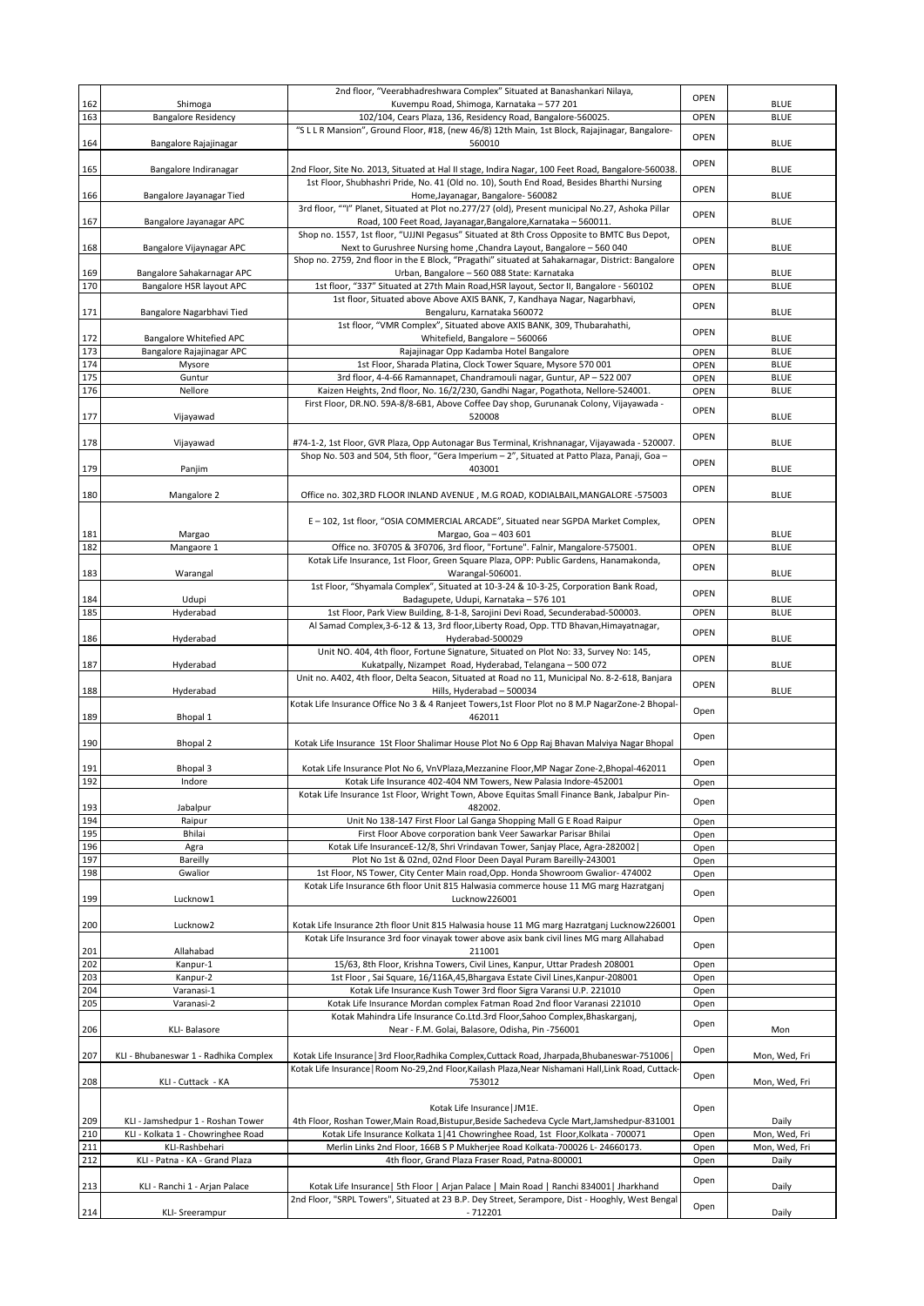|            |                                                      | 2nd floor, "Veerabhadreshwara Complex" Situated at Banashankari Nilaya,                                                                                                                                 | <b>OPEN</b>  |                                |
|------------|------------------------------------------------------|---------------------------------------------------------------------------------------------------------------------------------------------------------------------------------------------------------|--------------|--------------------------------|
| 162<br>163 | Shimoga<br><b>Bangalore Residency</b>                | Kuvempu Road, Shimoga, Karnataka - 577 201<br>102/104, Cears Plaza, 136, Residency Road, Bangalore-560025.                                                                                              | <b>OPEN</b>  | <b>BLUE</b><br><b>BLUE</b>     |
| 164        | Bangalore Rajajinagar                                | "S L L R Mansion", Ground Floor, #18, (new 46/8) 12th Main, 1st Block, Rajajinagar, Bangalore-<br>560010                                                                                                | OPEN         | <b>BLUE</b>                    |
| 165        | Bangalore Indiranagar                                | 2nd Floor, Site No. 2013, Situated at Hal II stage, Indira Nagar, 100 Feet Road, Bangalore-560038.                                                                                                      | <b>OPEN</b>  | <b>BLUE</b>                    |
| 166        | Bangalore Jayanagar Tied                             | 1st Floor, Shubhashri Pride, No. 41 (Old no. 10), South End Road, Besides Bharthi Nursing<br>Home, Jayanagar, Bangalore- 560082                                                                         | <b>OPEN</b>  | <b>BLUE</b>                    |
| 167        | Bangalore Jayanagar APC                              | 3rd floor, ""I" Planet, Situated at Plot no.277/27 (old), Present municipal No.27, Ashoka Pillar<br>Road, 100 Feet Road, Jayanagar, Bangalore, Karnataka - 560011.                                      | <b>OPEN</b>  | <b>BLUE</b>                    |
| 168        | Bangalore Vijaynagar APC                             | Shop no. 1557, 1st floor, "UJJNI Pegasus" Situated at 8th Cross Opposite to BMTC Bus Depot,<br>Next to Gurushree Nursing home , Chandra Layout, Bangalore - 560 040                                     | <b>OPEN</b>  | <b>BLUE</b>                    |
| 169        | Bangalore Sahakarnagar APC                           | Shop no. 2759, 2nd floor in the E Block, "Pragathi" situated at Sahakarnagar, District: Bangalore<br>Urban, Bangalore - 560 088 State: Karnataka                                                        | <b>OPEN</b>  | <b>BLUE</b>                    |
| 170        | Bangalore HSR layout APC                             | 1st floor, "337" Situated at 27th Main Road, HSR layout, Sector II, Bangalore - 560102                                                                                                                  | OPEN         | <b>BLUE</b>                    |
| 171        | Bangalore Nagarbhavi Tied                            | 1st floor, Situated above Above AXIS BANK, 7, Kandhaya Nagar, Nagarbhavi,<br>Bengaluru, Karnataka 560072                                                                                                | <b>OPEN</b>  | <b>BLUE</b>                    |
| 172        | Bangalore Whitefied APC                              | 1st floor, "VMR Complex", Situated above AXIS BANK, 309, Thubarahathi,<br>Whitefield, Bangalore - 560066                                                                                                | OPEN         | <b>BLUE</b>                    |
| 173        | Bangalore Rajajinagar APC                            | Rajajinagar Opp Kadamba Hotel Bangalore                                                                                                                                                                 | <b>OPEN</b>  | <b>BLUE</b>                    |
| 174        | Mysore                                               | 1st Floor, Sharada Platina, Clock Tower Square, Mysore 570 001                                                                                                                                          | <b>OPEN</b>  | <b>BLUE</b>                    |
| 175        | Guntur                                               | 3rd floor, 4-4-66 Ramannapet, Chandramouli nagar, Guntur, AP - 522 007                                                                                                                                  | <b>OPEN</b>  | <b>BLUE</b>                    |
| 176        | Nellore                                              | Kaizen Heights, 2nd floor, No. 16/2/230, Gandhi Nagar, Pogathota, Nellore-524001.<br>First Floor, DR.NO. 59A-8/8-6B1, Above Coffee Day shop, Gurunanak Colony, Vijayawada -                             | OPEN         | <b>BLUE</b>                    |
| 177        | Vijayawad                                            | 520008                                                                                                                                                                                                  | OPEN         | <b>BLUE</b>                    |
| 178        | Vijayawad                                            | #74-1-2, 1st Floor, GVR Plaza, Opp Autonagar Bus Terminal, Krishnanagar, Vijayawada - 520007                                                                                                            | <b>OPEN</b>  | <b>BLUE</b>                    |
| 179        | Panjim                                               | Shop No. 503 and 504, 5th floor, "Gera Imperium - 2", Situated at Patto Plaza, Panaji, Goa -<br>403001                                                                                                  | <b>OPEN</b>  | <b>BLUE</b>                    |
| 180        | Mangalore 2                                          | Office no. 302,3RD FLOOR INLAND AVENUE , M.G ROAD, KODIALBAIL, MANGALORE -575003                                                                                                                        | OPEN         | <b>BLUE</b>                    |
|            | Margao                                               | E - 102, 1st floor, "OSIA COMMERCIAL ARCADE", Situated near SGPDA Market Complex,<br>Margao, Goa - 403 601                                                                                              | <b>OPEN</b>  | <b>BLUE</b>                    |
| 181<br>182 | Mangaore 1                                           | Office no. 3F0705 & 3F0706, 3rd floor, "Fortune". Falnir, Mangalore-575001.                                                                                                                             | OPEN         | <b>BLUE</b>                    |
| 183        | Warangal                                             | Kotak Life Insurance, 1st Floor, Green Square Plaza, OPP: Public Gardens, Hanamakonda,<br>Warangal-506001.                                                                                              | <b>OPEN</b>  | <b>BLUE</b>                    |
| 184        | Udupi                                                | 1st Floor, "Shyamala Complex", Situated at 10-3-24 & 10-3-25, Corporation Bank Road,<br>Badagupete, Udupi, Karnataka - 576 101                                                                          | <b>OPEN</b>  | <b>BLUE</b>                    |
| 185        | Hyderabad                                            | 1st Floor, Park View Building, 8-1-8, Sarojini Devi Road, Secunderabad-500003.                                                                                                                          | <b>OPEN</b>  | <b>BLUE</b>                    |
|            |                                                      | Al Samad Complex, 3-6-12 & 13, 3rd floor, Liberty Road, Opp. TTD Bhavan, Himayatnagar,                                                                                                                  | <b>OPEN</b>  |                                |
| 186        | Hyderabad                                            | Hyderabad-500029<br>Unit NO. 404, 4th floor, Fortune Signature, Situated on Plot No: 33, Survey No: 145,                                                                                                |              | <b>BLUE</b>                    |
| 187        | Hyderabad                                            | Kukatpally, Nizampet Road, Hyderabad, Telangana - 500 072<br>Unit no. A402, 4th floor, Delta Seacon, Situated at Road no 11, Municipal No. 8-2-618, Banjara                                             | <b>OPEN</b>  | <b>BLUE</b>                    |
| 188        | Hyderabad                                            | Hills, Hyderabad - 500034                                                                                                                                                                               | OPEN         | <b>BLUE</b>                    |
| 189        | Bhopal 1                                             | Kotak Life Insurance Office No 3 & 4 Ranjeet Towers, 1st Floor Plot no 8 M.P NagarZone-2 Bhopal-<br>462011                                                                                              | Open         |                                |
| 190        | <b>Bhopal 2</b>                                      | Kotak Life Insurance 1St Floor Shalimar House Plot No 6 Opp Raj Bhavan Malviya Nagar Bhopal                                                                                                             | Open         |                                |
| 191        | Bhopal 3                                             | Kotak Life Insurance Plot No 6, VnVPlaza, Mezzanine Floor, MP Nagar Zone-2, Bhopal-462011                                                                                                               | Open         |                                |
| 192        | Indore                                               | Kotak Life Insurance 402-404 NM Towers, New Palasia Indore-452001                                                                                                                                       | Open         |                                |
|            |                                                      | Kotak Life Insurance 1st Floor, Wright Town, Above Equitas Small Finance Bank, Jabalpur Pin-                                                                                                            | Open         |                                |
| 193        | Jabalpur                                             | 482002.                                                                                                                                                                                                 |              |                                |
| 194<br>195 | Raipur<br>Bhilai                                     | Unit No 138-147 First Floor Lal Ganga Shopping Mall G E Road Raipur<br>First Floor Above corporation bank Veer Sawarkar Parisar Bhilai                                                                  | Open<br>Open |                                |
| 196        | Agra                                                 | Kotak Life InsuranceE-12/8, Shri Vrindavan Tower, Sanjay Place, Agra-282002                                                                                                                             | Open         |                                |
| 197        | Bareilly                                             | Plot No 1st & 02nd, 02nd Floor Deen Dayal Puram Bareilly-243001                                                                                                                                         | Open         |                                |
| 198        | Gwalior                                              | 1st Floor, NS Tower, City Center Main road, Opp. Honda Showroom Gwalior- 474002                                                                                                                         | Open         |                                |
| 199        | Lucknow1                                             | Kotak Life Insurance 6th floor Unit 815 Halwasia commerce house 11 MG marg Hazratganj<br>Lucknow226001                                                                                                  | Open         |                                |
| 200        | Lucknow2                                             | Kotak Life Insurance 2th floor Unit 815 Halwasia house 11 MG marg Hazratganj Lucknow226001                                                                                                              | Open         |                                |
| 201        | Allahabad                                            | Kotak Life Insurance 3rd foor vinayak tower above asix bank civil lines MG marg Allahabad<br>211001                                                                                                     | Open         |                                |
| 202        | Kanpur-1                                             | 15/63, 8th Floor, Krishna Towers, Civil Lines, Kanpur, Uttar Pradesh 208001                                                                                                                             | Open         |                                |
| 203        | Kanpur-2                                             | 1st Floor, Sai Square, 16/116A,45, Bhargava Estate Civil Lines, Kanpur-208001                                                                                                                           | Open         |                                |
| 204        | Varanasi-1                                           | Kotak Life Insurance Kush Tower 3rd floor Sigra Varansi U.P. 221010                                                                                                                                     | Open         |                                |
| 205        | Varanasi-2                                           | Kotak Life Insurance Mordan complex Fatman Road 2nd floor Varanasi 221010                                                                                                                               | Open         |                                |
| 206        | KLI-Balasore                                         | Kotak Mahindra Life Insurance Co.Ltd.3rd Floor,Sahoo Complex,Bhaskarganj,<br>Near - F.M. Golai, Balasore, Odisha, Pin -756001                                                                           | Open         | Mon                            |
| 207        | KLI - Bhubaneswar 1 - Radhika Complex                | Kotak Life Insurance   3rd Floor, Radhika Complex, Cuttack Road, Jharpada, Bhubaneswar-751006  <br>Kotak Life Insurance   Room No-29,2nd Floor, Kailash Plaza, Near Nishamani Hall, Link Road, Cuttack- | Open         | Mon, Wed, Fri                  |
| 208        | KLI - Cuttack - KA                                   | 753012                                                                                                                                                                                                  | Open         | Mon, Wed, Fri                  |
|            |                                                      | Kotak Life Insurance   JM1E.                                                                                                                                                                            | Open         |                                |
| 209        | KLI - Jamshedpur 1 - Roshan Tower                    | 4th Floor, Roshan Tower, Main Road, Bistupur, Beside Sachedeva Cycle Mart, Jamshedpur-831001                                                                                                            |              | Daily                          |
| 210<br>211 | KLI - Kolkata 1 - Chowringhee Road<br>KLI-Rashbehari | Kotak Life Insurance Kolkata 1 41 Chowringhee Road, 1st Floor, Kolkata - 700071<br>Merlin Links 2nd Floor, 166B S P Mukherjee Road Kolkata-700026 L- 24660173.                                          | Open         | Mon, Wed, Fri<br>Mon, Wed, Fri |
| 212        | KLI - Patna - KA - Grand Plaza                       | 4th floor, Grand Plaza Fraser Road, Patna-800001                                                                                                                                                        | Open<br>Open | Daily                          |
|            |                                                      |                                                                                                                                                                                                         |              |                                |
| 213        | KLI - Ranchi 1 - Arjan Palace                        | Kotak Life Insurance   5th Floor   Arjan Palace   Main Road   Ranchi 834001   Jharkhand<br>2nd Floor, "SRPL Towers", Situated at 23 B.P. Dey Street, Serampore, Dist - Hooghly, West Bengal             | Open         | Daily                          |
| 214        | KLI-Sreerampur                                       | - 712201                                                                                                                                                                                                | Open         | Daily                          |